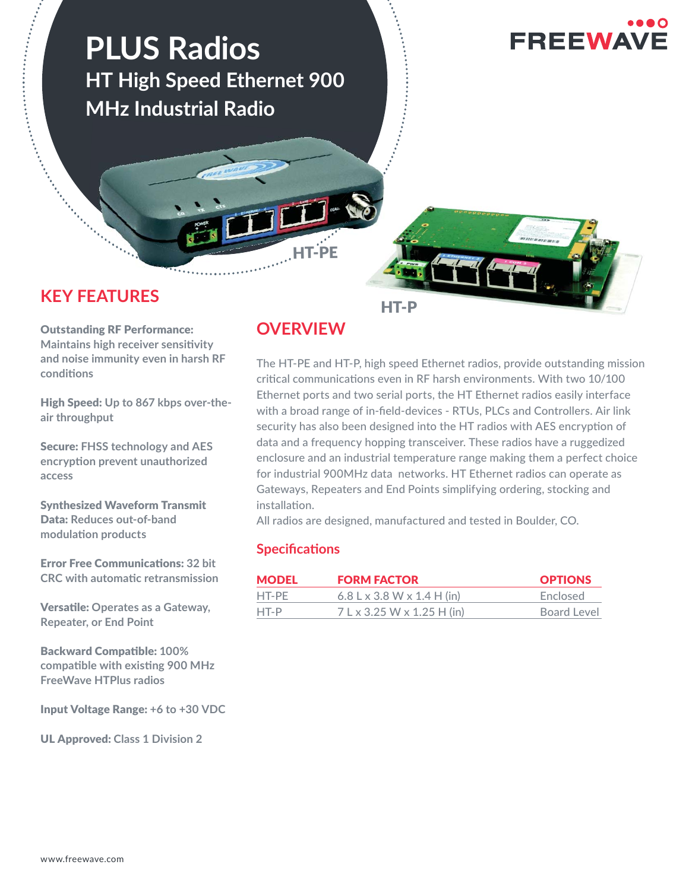

# **KEY FEATURES**

HT-P

Outstanding RF Performance: **Maintains high receiver sensitivity and noise immunity even in harsh RF condiঞ ons**

High Speed: **Up to 867 kbps over-theair throughput** 

Secure: **FHSS technology and AES encrypঞ on prevent unauthorized access**

Synthesized Waveform Transmit Data: **Reduces out-of-band modulaঞ on products** 

**Error Free Communications: 32 bit CRC with automaঞ c retransmission** 

**Versatile: Operates as a Gateway, Repeater, or End Point**

**Backward Compatible: 100% compatible with existing 900 MHz FreeWave HTPlus radios**

Input Voltage Range: **+6 to +30 VDC**

UL Approved: **Class 1 Division 2**

# **OVERVIEW**

The HT-PE and HT-P, high speed Ethernet radios, provide outstanding mission critical communications even in RF harsh environments. With two 10/100 Ethernet ports and two serial ports, the HT Ethernet radios easily interface with a broad range of in-field-devices - RTUs, PLCs and Controllers. Air link security has also been designed into the HT radios with AES encryption of data and a frequency hopping transceiver. These radios have a ruggedized enclosure and an industrial temperature range making them a perfect choice for industrial 900MHz data networks. HT Ethernet radios can operate as Gateways, Repeaters and End Points simplifying ordering, stocking and installation.

All radios are designed, manufactured and tested in Boulder, CO.

## **Specifications**

| <b>MODEL</b> | <b>FORM FACTOR</b>         | <b>OPTIONS</b> |
|--------------|----------------------------|----------------|
| HT-PE        | 6.8 L x 3.8 W x 1.4 H (in) | Enclosed       |
| HT-P         | 7 L x 3.25 W x 1.25 H (in) | Board Level    |